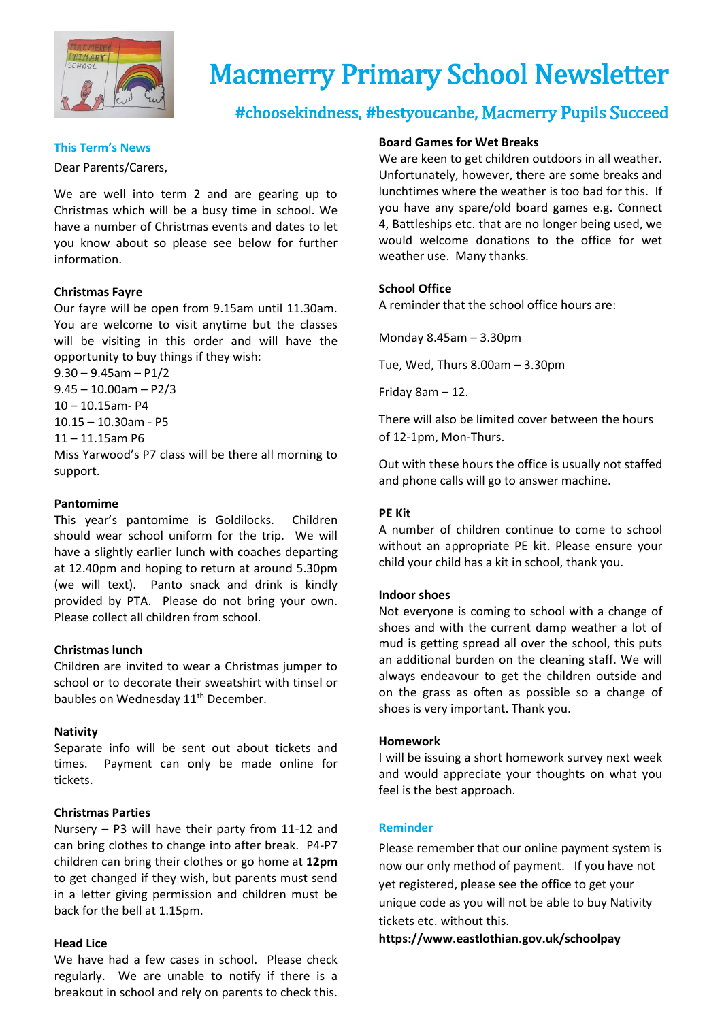

# Macmerry Primary School Newsletter

# #choosekindness, #bestyoucanbe, Macmerry Pupils Succeed

Dear Parents/Carers,

We are well into term 2 and are gearing up to Christmas which will be a busy time in school. We have a number of Christmas events and dates to let you know about so please see below for further information.

#### **Christmas Fayre**

Our fayre will be open from 9.15am until 11.30am. You are welcome to visit anytime but the classes will be visiting in this order and will have the opportunity to buy things if they wish:

 $9.30 - 9.45$ am - P1/2

 $9.45 - 10.00$ am - P2/3 10 – 10.15am- P4

10.15 – 10.30am - P5

11 – 11.15am P6

Miss Yarwood's P7 class will be there all morning to support.

#### **Pantomime**

This year's pantomime is Goldilocks. Children should wear school uniform for the trip. We will have a slightly earlier lunch with coaches departing at 12.40pm and hoping to return at around 5.30pm (we will text). Panto snack and drink is kindly provided by PTA. Please do not bring your own. Please collect all children from school.

#### **Christmas lunch**

Children are invited to wear a Christmas jumper to school or to decorate their sweatshirt with tinsel or baubles on Wednesday 11<sup>th</sup> December.

#### **Nativity**

Separate info will be sent out about tickets and times. Payment can only be made online for tickets.

#### **Christmas Parties**

Nursery – P3 will have their party from 11-12 and can bring clothes to change into after break. P4-P7 children can bring their clothes or go home at **12pm** to get changed if they wish, but parents must send in a letter giving permission and children must be back for the bell at 1.15pm.

#### **Head Lice**

We have had a few cases in school. Please check regularly. We are unable to notify if there is a breakout in school and rely on parents to check this.

#### **Board Games for Wet Breaks**

**This Term's News**<br>
We are keen to get children outdoors in all weather. Unfortunately, however, there are some breaks and lunchtimes where the weather is too bad for this. If you have any spare/old board games e.g. Connect 4, Battleships etc. that are no longer being used, we would welcome donations to the office for wet weather use. Many thanks.

#### **School Office**

A reminder that the school office hours are:

Monday 8.45am – 3.30pm

Tue, Wed, Thurs 8.00am – 3.30pm

Friday 8am – 12.

There will also be limited cover between the hours of 12-1pm, Mon-Thurs.

Out with these hours the office is usually not staffed and phone calls will go to answer machine.

#### **PE Kit**

A number of children continue to come to school without an appropriate PE kit. Please ensure your child your child has a kit in school, thank you.

#### **Indoor shoes**

Not everyone is coming to school with a change of shoes and with the current damp weather a lot of mud is getting spread all over the school, this puts an additional burden on the cleaning staff. We will always endeavour to get the children outside and on the grass as often as possible so a change of shoes is very important. Thank you.

#### **Homework**

I will be issuing a short homework survey next week and would appreciate your thoughts on what you feel is the best approach.

#### **Reminder**

Please remember that our online payment system is now our only method of payment.If you have not yet registered, please see the office to get your unique code as you will not be able to buy Nativity tickets etc. without this.

**https://www.eastlothian.gov.uk/schoolpay**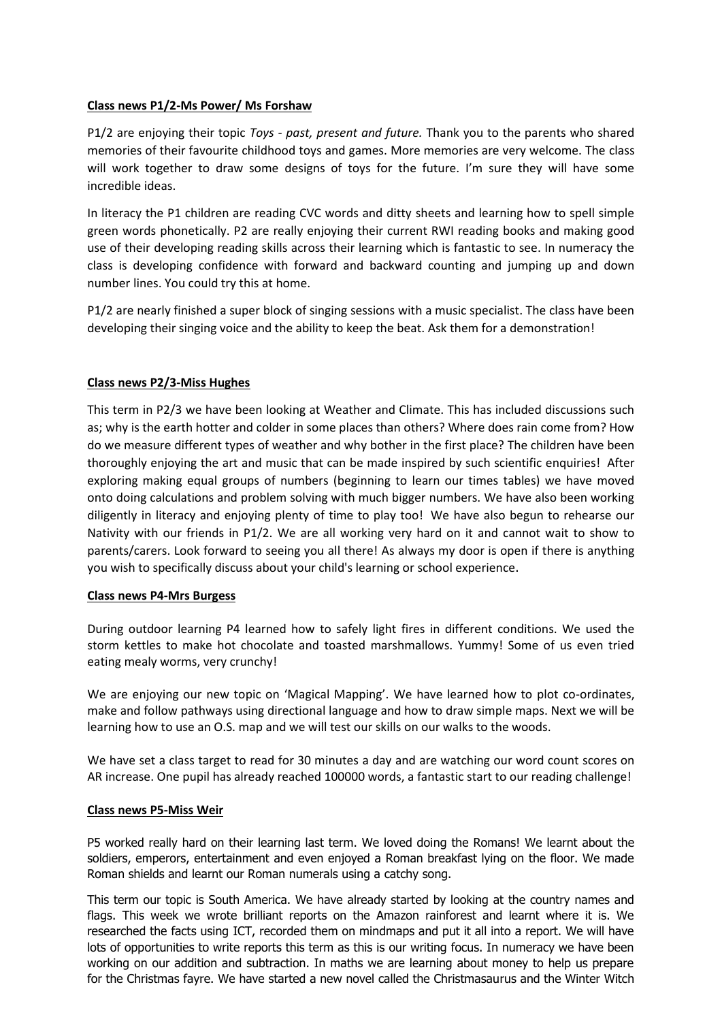### **Class news P1/2-Ms Power/ Ms Forshaw**

P1/2 are enjoying their topic *Toys - past, present and future.* Thank you to the parents who shared memories of their favourite childhood toys and games. More memories are very welcome. The class will work together to draw some designs of toys for the future. I'm sure they will have some incredible ideas.

In literacy the P1 children are reading CVC words and ditty sheets and learning how to spell simple green words phonetically. P2 are really enjoying their current RWI reading books and making good use of their developing reading skills across their learning which is fantastic to see. In numeracy the class is developing confidence with forward and backward counting and jumping up and down number lines. You could try this at home.

P1/2 are nearly finished a super block of singing sessions with a music specialist. The class have been developing their singing voice and the ability to keep the beat. Ask them for a demonstration!

### **Class news P2/3-Miss Hughes**

This term in P2/3 we have been looking at Weather and Climate. This has included discussions such as; why is the earth hotter and colder in some places than others? Where does rain come from? How do we measure different types of weather and why bother in the first place? The children have been thoroughly enjoying the art and music that can be made inspired by such scientific enquiries! After exploring making equal groups of numbers (beginning to learn our times tables) we have moved onto doing calculations and problem solving with much bigger numbers. We have also been working diligently in literacy and enjoying plenty of time to play too! We have also begun to rehearse our Nativity with our friends in P1/2. We are all working very hard on it and cannot wait to show to parents/carers. Look forward to seeing you all there! As always my door is open if there is anything you wish to specifically discuss about your child's learning or school experience.

#### **Class news P4-Mrs Burgess**

During outdoor learning P4 learned how to safely light fires in different conditions. We used the storm kettles to make hot chocolate and toasted marshmallows. Yummy! Some of us even tried eating mealy worms, very crunchy!

We are enjoying our new topic on 'Magical Mapping'. We have learned how to plot co-ordinates, make and follow pathways using directional language and how to draw simple maps. Next we will be learning how to use an O.S. map and we will test our skills on our walks to the woods.

We have set a class target to read for 30 minutes a day and are watching our word count scores on AR increase. One pupil has already reached 100000 words, a fantastic start to our reading challenge!

#### **Class news P5-Miss Weir**

P5 worked really hard on their learning last term. We loved doing the Romans! We learnt about the soldiers, emperors, entertainment and even enjoyed a Roman breakfast lying on the floor. We made Roman shields and learnt our Roman numerals using a catchy song.

This term our topic is South America. We have already started by looking at the country names and flags. This week we wrote brilliant reports on the Amazon rainforest and learnt where it is. We researched the facts using ICT, recorded them on mindmaps and put it all into a report. We will have lots of opportunities to write reports this term as this is our writing focus. In numeracy we have been working on our addition and subtraction. In maths we are learning about money to help us prepare for the Christmas fayre. We have started a new novel called the Christmasaurus and the Winter Witch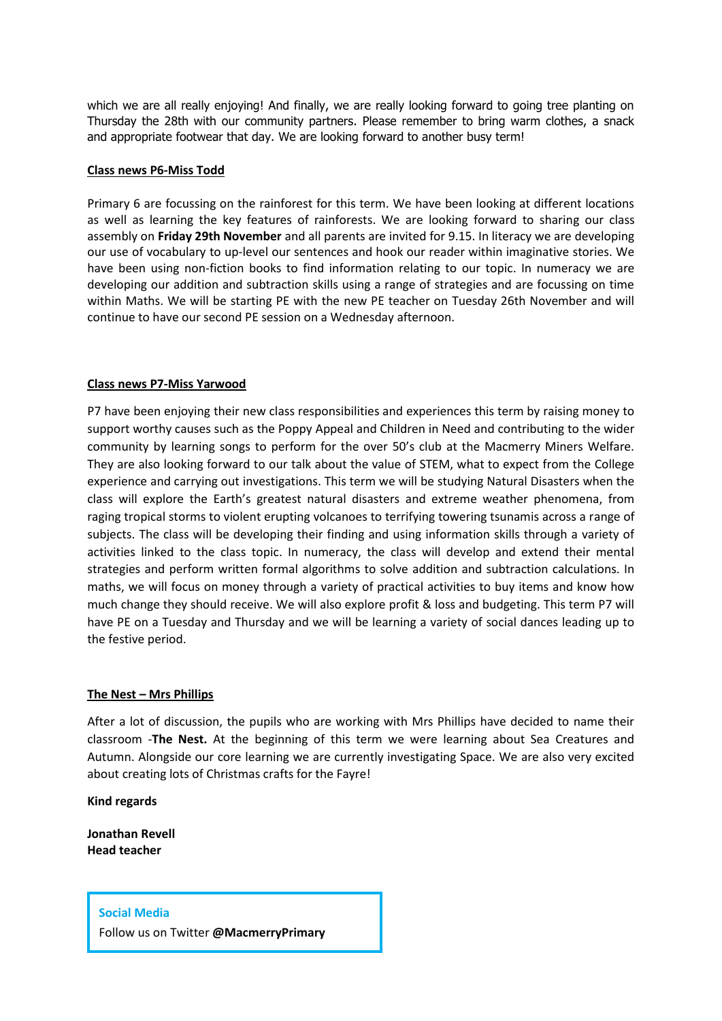which we are all really enjoying! And finally, we are really looking forward to going tree planting on Thursday the 28th with our community partners. Please remember to bring warm clothes, a snack and appropriate footwear that day. We are looking forward to another busy term!

#### **Class news P6-Miss Todd**

Primary 6 are focussing on the rainforest for this term. We have been looking at different locations as well as learning the key features of rainforests. We are looking forward to sharing our class assembly on **Friday 29th November** and all parents are invited for 9.15. In literacy we are developing our use of vocabulary to up-level our sentences and hook our reader within imaginative stories. We have been using non-fiction books to find information relating to our topic. In numeracy we are developing our addition and subtraction skills using a range of strategies and are focussing on time within Maths. We will be starting PE with the new PE teacher on Tuesday 26th November and will continue to have our second PE session on a Wednesday afternoon.

#### **Class news P7-Miss Yarwood**

P7 have been enjoying their new class responsibilities and experiences this term by raising money to support worthy causes such as the Poppy Appeal and Children in Need and contributing to the wider community by learning songs to perform for the over 50's club at the Macmerry Miners Welfare. They are also looking forward to our talk about the value of STEM, what to expect from the College experience and carrying out investigations. This term we will be studying Natural Disasters when the class will explore the Earth's greatest natural disasters and extreme weather phenomena, from raging tropical storms to violent erupting volcanoes to terrifying towering tsunamis across a range of subjects. The class will be developing their finding and using information skills through a variety of activities linked to the class topic. In numeracy, the class will develop and extend their mental strategies and perform written formal algorithms to solve addition and subtraction calculations. In maths, we will focus on money through a variety of practical activities to buy items and know how much change they should receive. We will also explore profit & loss and budgeting. This term P7 will have PE on a Tuesday and Thursday and we will be learning a variety of social dances leading up to the festive period.

#### **The Nest – Mrs Phillips**

After a lot of discussion, the pupils who are working with Mrs Phillips have decided to name their classroom -**The Nest.** At the beginning of this term we were learning about Sea Creatures and Autumn. Alongside our core learning we are currently investigating Space. We are also very excited about creating lots of Christmas crafts for the Fayre!

**Kind regards**

**Jonathan Revell Head teacher**

#### **Social Media**

Follow us on Twitter **@MacmerryPrimary**